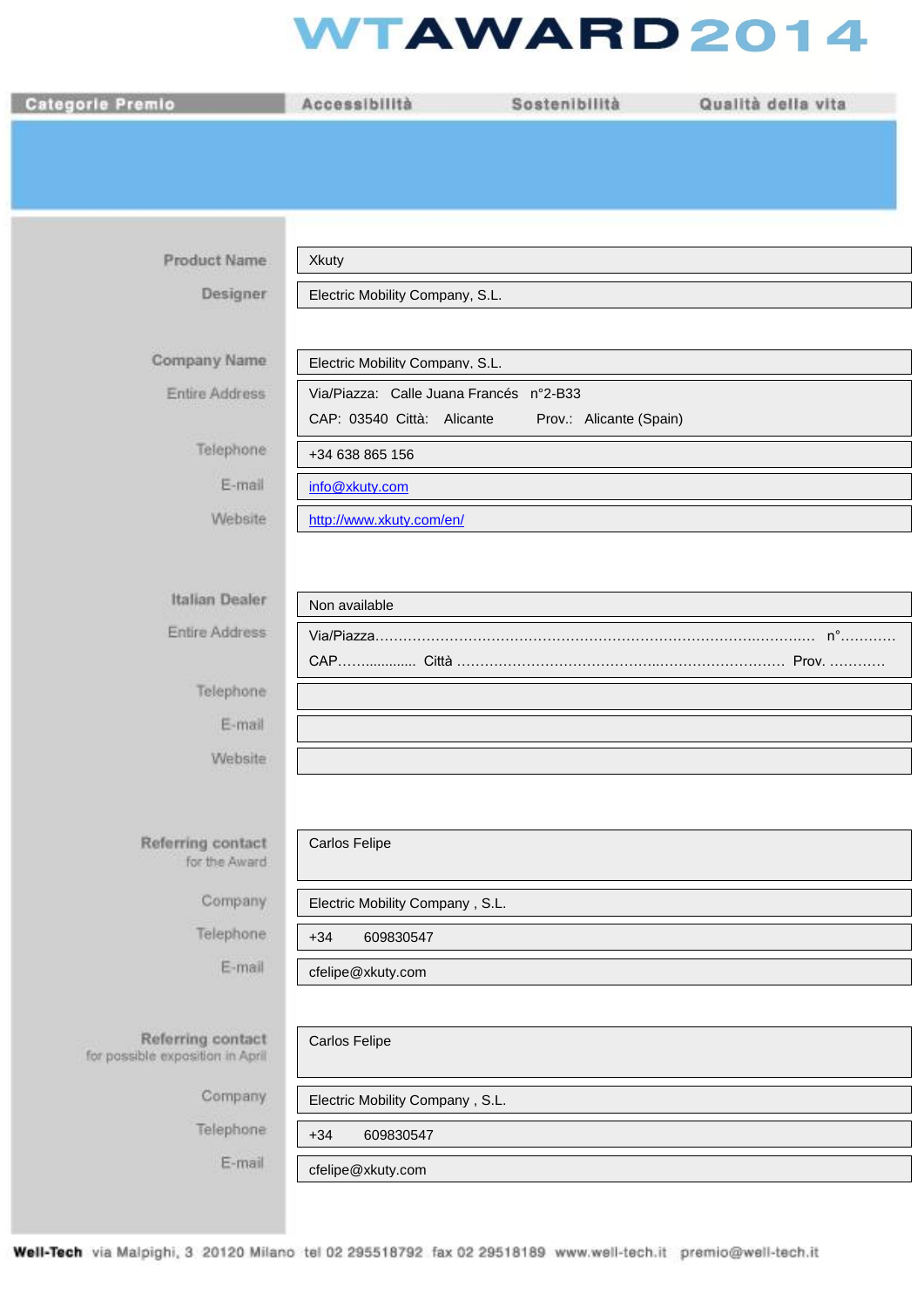## **WTAWARD2014**

| <b>Categorie Premio</b>                               | Accessibilità                           | Sostenibilità           | Qualità della vita |
|-------------------------------------------------------|-----------------------------------------|-------------------------|--------------------|
|                                                       |                                         |                         |                    |
|                                                       |                                         |                         |                    |
|                                                       |                                         |                         |                    |
|                                                       |                                         |                         |                    |
| <b>Product Name</b>                                   | Xkuty                                   |                         |                    |
| Designer                                              | Electric Mobility Company, S.L.         |                         |                    |
|                                                       |                                         |                         |                    |
| Company Name                                          | Electric Mobility Company. S.L.         |                         |                    |
| <b>Entire Address</b>                                 | Via/Piazza: Calle Juana Francés n°2-B33 |                         |                    |
|                                                       | CAP: 03540 Città: Alicante              | Prov.: Alicante (Spain) |                    |
| Telephone                                             | +34 638 865 156                         |                         |                    |
| E-mail                                                | info@xkuty.com                          |                         |                    |
| Website                                               | http://www.xkuty.com/en/                |                         |                    |
|                                                       |                                         |                         |                    |
| <b>Italian Dealer</b>                                 |                                         |                         |                    |
| Entire Address                                        | Non available                           |                         |                    |
|                                                       |                                         |                         |                    |
| Telephone                                             |                                         |                         |                    |
| E-mail                                                |                                         |                         |                    |
| Website                                               |                                         |                         |                    |
|                                                       |                                         |                         |                    |
|                                                       |                                         |                         |                    |
| Referring contact<br>for the Award                    | <b>Carlos Felipe</b>                    |                         |                    |
|                                                       |                                         |                         |                    |
| Company                                               | Electric Mobility Company, S.L.         |                         |                    |
| Telephone:                                            | $+34$<br>609830547                      |                         |                    |
| E-mail                                                | cfelipe@xkuty.com                       |                         |                    |
|                                                       |                                         |                         |                    |
| Referring contact<br>for possible exposition in April | <b>Carlos Felipe</b>                    |                         |                    |
| Company                                               | Electric Mobility Company, S.L.         |                         |                    |
| Telephone                                             | $+34$<br>609830547                      |                         |                    |
| E-mail                                                | cfelipe@xkuty.com                       |                         |                    |
|                                                       |                                         |                         |                    |